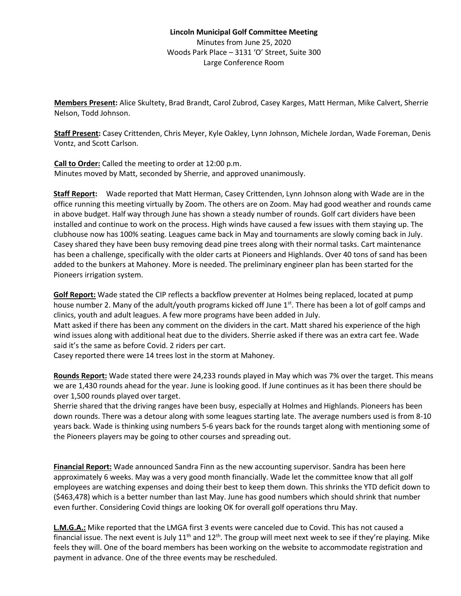**Members Present:** Alice Skultety, Brad Brandt, Carol Zubrod, Casey Karges, Matt Herman, Mike Calvert, Sherrie Nelson, Todd Johnson.

**Staff Present:** Casey Crittenden, Chris Meyer, Kyle Oakley, Lynn Johnson, Michele Jordan, Wade Foreman, Denis Vontz, and Scott Carlson.

**Call to Order:** Called the meeting to order at 12:00 p.m. Minutes moved by Matt, seconded by Sherrie, and approved unanimously.

**Staff Report:** Wade reported that Matt Herman, Casey Crittenden, Lynn Johnson along with Wade are in the office running this meeting virtually by Zoom. The others are on Zoom. May had good weather and rounds came in above budget. Half way through June has shown a steady number of rounds. Golf cart dividers have been installed and continue to work on the process. High winds have caused a few issues with them staying up. The clubhouse now has 100% seating. Leagues came back in May and tournaments are slowly coming back in July. Casey shared they have been busy removing dead pine trees along with their normal tasks. Cart maintenance has been a challenge, specifically with the older carts at Pioneers and Highlands. Over 40 tons of sand has been added to the bunkers at Mahoney. More is needed. The preliminary engineer plan has been started for the Pioneers irrigation system.

**Golf Report:** Wade stated the CIP reflects a backflow preventer at Holmes being replaced, located at pump house number 2. Many of the adult/youth programs kicked off June 1st. There has been a lot of golf camps and clinics, youth and adult leagues. A few more programs have been added in July.

Matt asked if there has been any comment on the dividers in the cart. Matt shared his experience of the high wind issues along with additional heat due to the dividers. Sherrie asked if there was an extra cart fee. Wade said it's the same as before Covid. 2 riders per cart.

Casey reported there were 14 trees lost in the storm at Mahoney.

**Rounds Report:** Wade stated there were 24,233 rounds played in May which was 7% over the target. This means we are 1,430 rounds ahead for the year. June is looking good. If June continues as it has been there should be over 1,500 rounds played over target.

Sherrie shared that the driving ranges have been busy, especially at Holmes and Highlands. Pioneers has been down rounds. There was a detour along with some leagues starting late. The average numbers used is from 8-10 years back. Wade is thinking using numbers 5-6 years back for the rounds target along with mentioning some of the Pioneers players may be going to other courses and spreading out.

**Financial Report:** Wade announced Sandra Finn as the new accounting supervisor. Sandra has been here approximately 6 weeks. May was a very good month financially. Wade let the committee know that all golf employees are watching expenses and doing their best to keep them down. This shrinks the YTD deficit down to (\$463,478) which is a better number than last May. June has good numbers which should shrink that number even further. Considering Covid things are looking OK for overall golf operations thru May.

**L.M.G.A.:** Mike reported that the LMGA first 3 events were canceled due to Covid. This has not caused a financial issue. The next event is July  $11<sup>th</sup>$  and  $12<sup>th</sup>$ . The group will meet next week to see if they're playing. Mike feels they will. One of the board members has been working on the website to accommodate registration and payment in advance. One of the three events may be rescheduled.